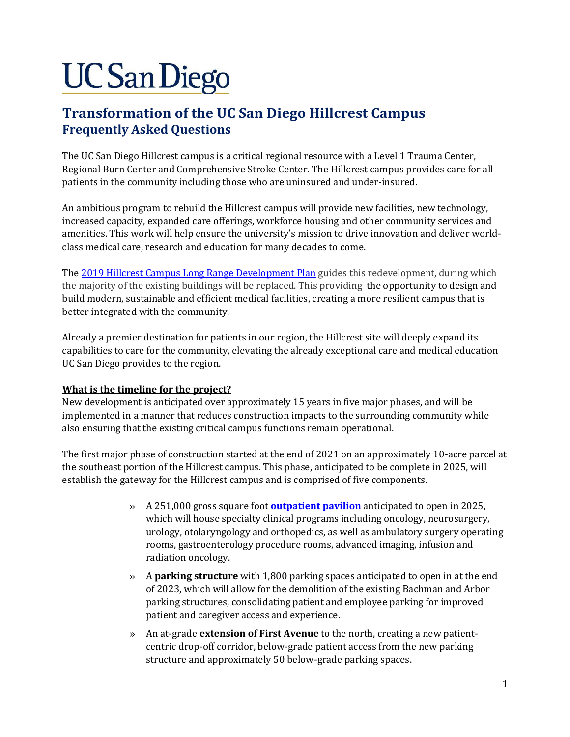# **UC San Diego**

# **Transformation of the UC San Diego Hillcrest Campus Frequently Asked Questions**

The UC San Diego Hillcrest campus is a critical regional resource with a Level 1 Trauma Center, Regional Burn Center and Comprehensive Stroke Center. The Hillcrest campus provides care for all patients in the community including those who are uninsured and under-insured.

An ambitious program to rebuild the Hillcrest campus will provide new facilities, new technology, increased capacity, expanded care offerings, workforce housing and other community services and amenities. This work will help ensure the university's mission to drive innovation and deliver worldclass medical care, research and education for many decades to come.

Th[e 2019 Hillcrest Campus Long Range Development Plan](https://plandesignbuild.ucsd.edu/planning/lrdp/hillcrest.html) guides this redevelopment, during which the majority of the existing buildings will be replaced. This providing the opportunity to design and build modern, sustainable and efficient medical facilities, creating a more resilient campus that is better integrated with the community.

Already a premier destination for patients in our region, the Hillcrest site will deeply expand its capabilities to care for the community, elevating the already exceptional care and medical education UC San Diego provides to the region.

# **What is the timeline for the project?**

New development is anticipated over approximately 15 years in five major phases, and will be implemented in a manner that reduces construction impacts to the surrounding community while also ensuring that the existing critical campus functions remain operational.

The first major phase of construction started at the end of 2021 on an approximately 10-acre parcel at the southeast portion of the Hillcrest campus. This phase, anticipated to be complete in 2025, will establish the gateway for the Hillcrest campus and is comprised of five components.

- » A 251,000 gross square foot **[outpatient pavilion](https://plandesignbuild.ucsd.edu/projects/current.html#Hillcrest-Outpatient-Pavilion-a)** anticipated to open in 2025, which will house specialty clinical programs including oncology, neurosurgery, urology, otolaryngology and orthopedics, as well as ambulatory surgery operating rooms, gastroenterology procedure rooms, advanced imaging, infusion and radiation oncology.
- » A **parking structure** with 1,800 parking spaces anticipated to open in at the end of 2023, which will allow for the demolition of the existing Bachman and Arbor parking structures, consolidating patient and employee parking for improved patient and caregiver access and experience.
- » An at-grade **extension of First Avenue** to the north, creating a new patientcentric drop-off corridor, below-grade patient access from the new parking structure and approximately 50 below-grade parking spaces.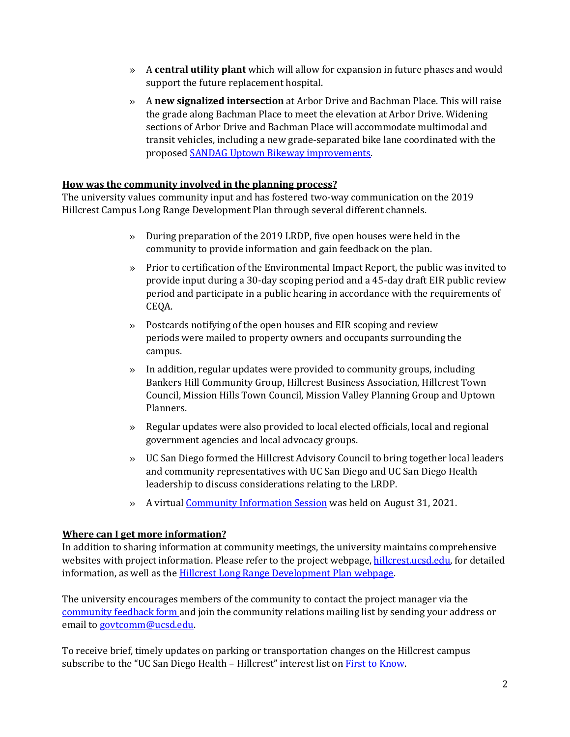- » A **central utility plant** which will allow for expansion in future phases and would support the future replacement hospital.
- » A **new signalized intersection** at Arbor Drive and Bachman Place. This will raise the grade along Bachman Place to meet the elevation at Arbor Drive. Widening sections of Arbor Drive and Bachman Place will accommodate multimodal and transit vehicles, including a new grade-separated bike lane coordinated with the proposed [SANDAG Uptown Bikeway improvements.](https://www.keepsandiegomoving.com/RegionalBikeProjects/UptownSegment3-intro.aspx)

#### **How was the community involved in the planning process?**

The university values community input and has fostered two-way communication on the 2019 Hillcrest Campus Long Range Development Plan through several different channels.

- » During preparation of the 2019 LRDP, five open houses were held in the community to provide information and gain feedback on the plan.
- » Prior to certification of the Environmental Impact Report, the public was invited to provide input during a 30-day scoping period and a 45-day draft EIR public review period and participate in a public hearing in accordance with the requirements of CEQA.
- » Postcards notifying of the open houses and EIR scoping and review periods were mailed to property owners and occupants surrounding the campus.
- » In addition, regular updates were provided to community groups, including Bankers Hill Community Group, Hillcrest Business Association, Hillcrest Town Council, Mission Hills Town Council, Mission Valley Planning Group and Uptown Planners.
- » Regular updates were also provided to local elected officials, local and regional government agencies and local advocacy groups.
- » UC San Diego formed the Hillcrest Advisory Council to bring together local leaders and community representatives with UC San Diego and UC San Diego Health leadership to discuss considerations relating to the LRDP.
- » A virtual [Community Information Session](https://plandesignbuild.ucsd.edu/_files/projects/UCSanDiegoHillcrestInfoSessionPresentation-8-31-21.pdf) was held on August 31, 2021.

#### **Where can I get more information?**

In addition to sharing information at community meetings, the university maintains comprehensive websites with project information. Please refer to the project webpage[, hillcrest.ucsd.edu,](https://hillcrest.ucsd.edu/) for detailed information, as well as the **Hillcrest Long Range Development Plan webpage**.

The university encourages members of the community to contact the project manager via the [community feedback form](https://plandesignbuild.ucsd.edu/contact/feedback.html) and join the community relations mailing list by sending your address or email to [govtcomm@ucsd.edu.](mailto:govtcomm@ucsd.edu)

To receive brief, timely updates on parking or transportation changes on the Hillcrest campus subscribe to the "UC San Diego Health - Hillcrest" interest list on [First to Know.](https://transportation.ucsd.edu/contact/firsttoknow.html)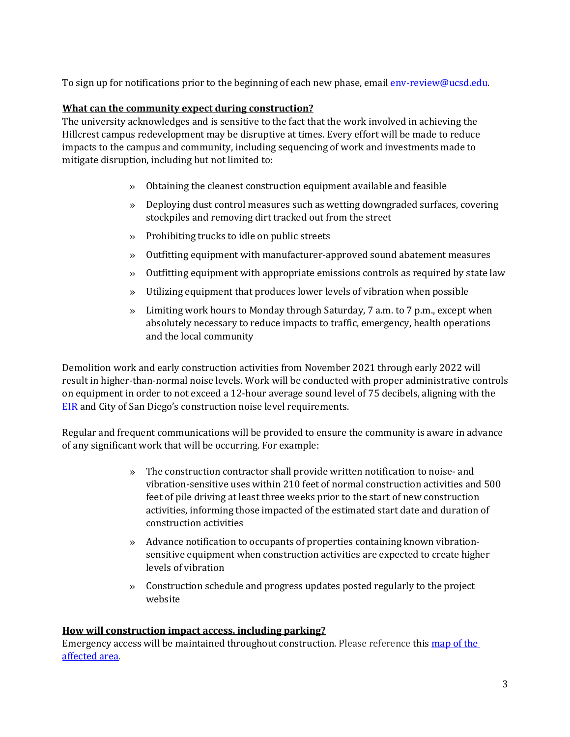To sign up for notifications prior to the beginning of each new phase, email env-review@ucsd.edu.

# **What can the community expect during construction?**

The university acknowledges and is sensitive to the fact that the work involved in achieving the Hillcrest campus redevelopment may be disruptive at times. Every effort will be made to reduce impacts to the campus and community, including sequencing of work and investments made to mitigate disruption, including but not limited to:

- » Obtaining the cleanest construction equipment available and feasible
- » Deploying dust control measures such as wetting downgraded surfaces, covering stockpiles and removing dirt tracked out from the street
- » Prohibiting trucks to idle on public streets
- » Outfitting equipment with manufacturer-approved sound abatement measures
- » Outfitting equipment with appropriate emissions controls as required by state law
- » Utilizing equipment that produces lower levels of vibration when possible
- » Limiting work hours to Monday through Saturday, 7 a.m. to 7 p.m., except when absolutely necessary to reduce impacts to traffic, emergency, health operations and the local community

Demolition work and early construction activities from November 2021 through early 2022 will result in higher-than-normal noise levels. Work will be conducted with proper administrative controls on equipment in order to not exceed a 12-hour average sound level of 75 decibels, aligning with the **[EIR](https://plandesignbuild.ucsd.edu/planning/lrdp/hillcrest.html#Environmental-Impact-Report)** and City of San Diego's construction noise level requirements.

Regular and frequent communications will be provided to ensure the community is aware in advance of any significant work that will be occurring. For example:

- » The construction contractor shall provide written notification to noise- and vibration-sensitive uses within 210 feet of normal construction activities and 500 feet of pile driving at least three weeks prior to the start of new construction activities, informing those impacted of the estimated start date and duration of construction activities
- » Advance notification to occupants of properties containing known vibrationsensitive equipment when construction activities are expected to create higher levels of vibration
- » Construction schedule and progress updates posted regularly to the project website

#### **How will construction impact access, including parking?**

Emergency access will be maintained throughout construction. Please reference this map of the [affected area.](https://rmp-public.ucsd.edu/fdc/Alerts/Hillcrest_OPP_and_Parking-Start_of_Construction(11.01.21-Spring2025).pdf)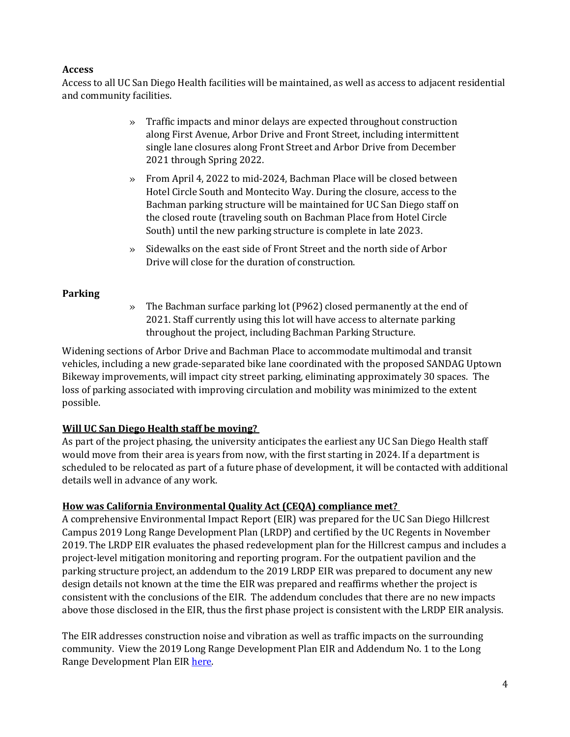# **Access**

Access to all UC San Diego Health facilities will be maintained, as well as access to adjacent residential and community facilities.

- » Traffic impacts and minor delays are expected throughout construction along First Avenue, Arbor Drive and Front Street, including intermittent single lane closures along Front Street and Arbor Drive from December 2021 through Spring 2022.
- » From April 4, 2022 to mid-2024, Bachman Place will be closed between Hotel Circle South and Montecito Way. During the closure, access to the Bachman parking structure will be maintained for UC San Diego staff on the closed route (traveling south on Bachman Place from Hotel Circle South) until the new parking structure is complete in late 2023.
- » Sidewalks on the east side of Front Street and the north side of Arbor Drive will close for the duration of construction.

# **Parking**

» The Bachman surface parking lot (P962) closed permanently at the end of 2021. Staff currently using this lot will have access to alternate parking throughout the project, including Bachman Parking Structure.

Widening sections of Arbor Drive and Bachman Place to accommodate multimodal and transit vehicles, including a new grade-separated bike lane coordinated with the proposed SANDAG Uptown Bikeway improvements, will impact city street parking, eliminating approximately 30 spaces. The loss of parking associated with improving circulation and mobility was minimized to the extent possible.

# **Will UC San Diego Health staff be moving?**

As part of the project phasing, the university anticipates the earliest any UC San Diego Health staff would move from their area is years from now, with the first starting in 2024. If a department is scheduled to be relocated as part of a future phase of development, it will be contacted with additional details well in advance of any work.

# **How was California Environmental Quality Act (CEQA) compliance met?**

A comprehensive Environmental Impact Report (EIR) was prepared for the UC San Diego Hillcrest Campus 2019 Long Range Development Plan (LRDP) and certified by the UC Regents in November 2019. The LRDP EIR evaluates the phased redevelopment plan for the Hillcrest campus and includes a project-level mitigation monitoring and reporting program. For the outpatient pavilion and the parking structure project, an addendum to the 2019 LRDP EIR was prepared to document any new design details not known at the time the EIR was prepared and reaffirms whether the project is consistent with the conclusions of the EIR. The addendum concludes that there are no new impacts above those disclosed in the EIR, thus the first phase project is consistent with the LRDP EIR analysis.

The EIR addresses construction noise and vibration as well as traffic impacts on the surrounding community. View the 2019 Long Range Development Plan EIR and Addendum No. 1 to the Long Range Development Plan EIR [here.](https://plandesignbuild.ucsd.edu/planning/environmental.html#Environmental-Impact-Reports)